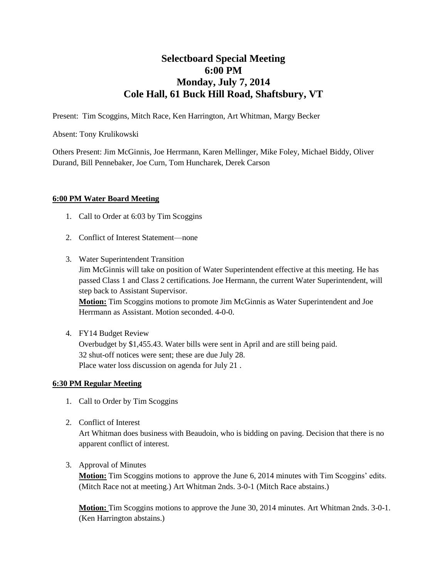## **Selectboard Special Meeting 6:00 PM Monday, July 7, 2014 Cole Hall, 61 Buck Hill Road, Shaftsbury, VT**

Present: Tim Scoggins, Mitch Race, Ken Harrington, Art Whitman, Margy Becker

Absent: Tony Krulikowski

Others Present: Jim McGinnis, Joe Herrmann, Karen Mellinger, Mike Foley, Michael Biddy, Oliver Durand, Bill Pennebaker, Joe Curn, Tom Huncharek, Derek Carson

## **6:00 PM Water Board Meeting**

- 1. Call to Order at 6:03 by Tim Scoggins
- 2. Conflict of Interest Statement—none
- 3. Water Superintendent Transition Jim McGinnis will take on position of Water Superintendent effective at this meeting. He has passed Class 1 and Class 2 certifications. Joe Hermann, the current Water Superintendent, will step back to Assistant Supervisor. **Motion:** Tim Scoggins motions to promote Jim McGinnis as Water Superintendent and Joe Herrmann as Assistant. Motion seconded. 4-0-0.
- 4. FY14 Budget Review Overbudget by \$1,455.43. Water bills were sent in April and are still being paid. 32 shut-off notices were sent; these are due July 28. Place water loss discussion on agenda for July 21 .

## **6:30 PM Regular Meeting**

- 1. Call to Order by Tim Scoggins
- 2. Conflict of Interest

Art Whitman does business with Beaudoin, who is bidding on paving. Decision that there is no apparent conflict of interest.

3. Approval of Minutes

**Motion:** Tim Scoggins motions to approve the June 6, 2014 minutes with Tim Scoggins' edits. (Mitch Race not at meeting.) Art Whitman 2nds. 3-0-1 (Mitch Race abstains.)

**Motion:** Tim Scoggins motions to approve the June 30, 2014 minutes. Art Whitman 2nds. 3-0-1. (Ken Harrington abstains.)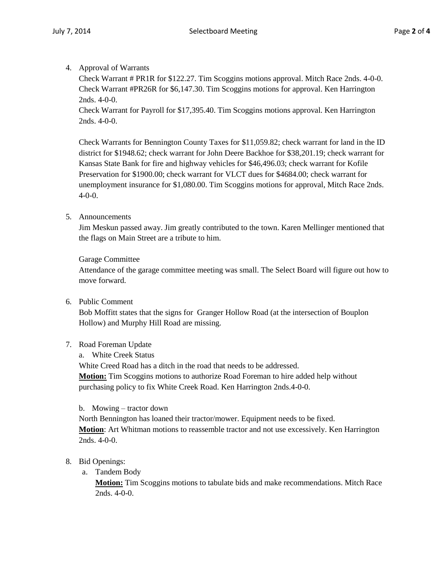4. Approval of Warrants

Check Warrant # PR1R for \$122.27. Tim Scoggins motions approval. Mitch Race 2nds. 4-0-0. Check Warrant #PR26R for \$6,147.30. Tim Scoggins motions for approval. Ken Harrington 2nds. 4-0-0.

Check Warrant for Payroll for \$17,395.40. Tim Scoggins motions approval. Ken Harrington 2nds. 4-0-0.

Check Warrants for Bennington County Taxes for \$11,059.82; check warrant for land in the ID district for \$1948.62; check warrant for John Deere Backhoe for \$38,201.19; check warrant for Kansas State Bank for fire and highway vehicles for \$46,496.03; check warrant for Kofile Preservation for \$1900.00; check warrant for VLCT dues for \$4684.00; check warrant for unemployment insurance for \$1,080.00. Tim Scoggins motions for approval, Mitch Race 2nds. 4-0-0.

5. Announcements

Jim Meskun passed away. Jim greatly contributed to the town. Karen Mellinger mentioned that the flags on Main Street are a tribute to him.

Garage Committee

Attendance of the garage committee meeting was small. The Select Board will figure out how to move forward.

6. Public Comment

Bob Moffitt states that the signs for Granger Hollow Road (at the intersection of Bouplon Hollow) and Murphy Hill Road are missing.

- 7. Road Foreman Update
	- a. White Creek Status

White Creed Road has a ditch in the road that needs to be addressed.

**Motion:** Tim Scoggins motions to authorize Road Foreman to hire added help without purchasing policy to fix White Creek Road. Ken Harrington 2nds.4-0-0.

b. Mowing – tractor down

North Bennington has loaned their tractor/mower. Equipment needs to be fixed. **Motion**: Art Whitman motions to reassemble tractor and not use excessively. Ken Harrington 2nds. 4-0-0.

- 8. Bid Openings:
	- a. Tandem Body

**Motion:** Tim Scoggins motions to tabulate bids and make recommendations. Mitch Race 2nds. 4-0-0.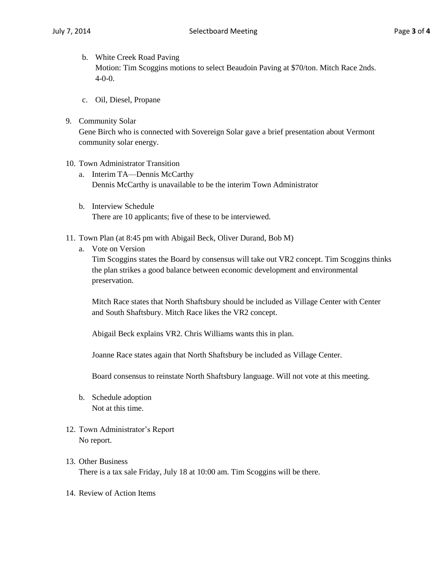- b. White Creek Road Paving Motion: Tim Scoggins motions to select Beaudoin Paving at \$70/ton. Mitch Race 2nds. 4-0-0.
- c. Oil, Diesel, Propane
- 9. Community Solar

Gene Birch who is connected with Sovereign Solar gave a brief presentation about Vermont community solar energy.

- 10. Town Administrator Transition
	- a. Interim TA—Dennis McCarthy Dennis McCarthy is unavailable to be the interim Town Administrator
	- b. Interview Schedule There are 10 applicants; five of these to be interviewed.
- 11. Town Plan (at 8:45 pm with Abigail Beck, Oliver Durand, Bob M)
	- a. Vote on Version

Tim Scoggins states the Board by consensus will take out VR2 concept. Tim Scoggins thinks the plan strikes a good balance between economic development and environmental preservation.

Mitch Race states that North Shaftsbury should be included as Village Center with Center and South Shaftsbury. Mitch Race likes the VR2 concept.

Abigail Beck explains VR2. Chris Williams wants this in plan.

Joanne Race states again that North Shaftsbury be included as Village Center.

Board consensus to reinstate North Shaftsbury language. Will not vote at this meeting.

- b. Schedule adoption Not at this time.
- 12. Town Administrator's Report No report.
- 13. Other Business There is a tax sale Friday, July 18 at 10:00 am. Tim Scoggins will be there.
- 14. Review of Action Items